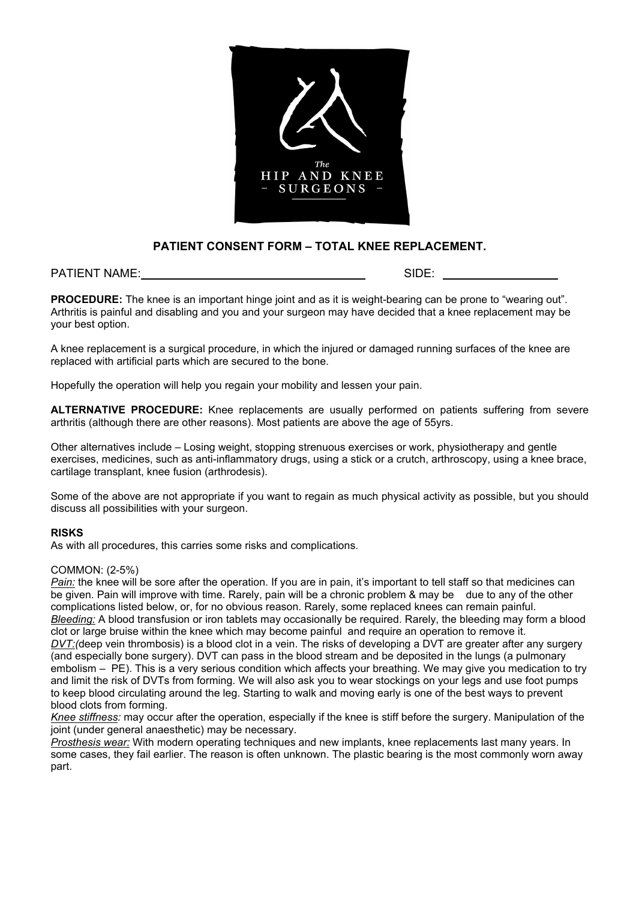

# **PATIENT CONSENT FORM – TOTAL KNEE REPLACEMENT.**

## PATIENT NAME: SIDE: SIDE: SIDE: SIDE: SIDE: SIDE: SIDE: SIDE: SIDE: SIDE: SIDE: SIDE: SIDE: SIDE: SIDE: SIDE: SIDE: SIDE: SIDE: SIDE: SIDE: SIDE: SIDE: SIDE: SIDE: SIDE: SIDE: SIDE: SIDE: SIDE: SIDE: SIDE: SIDE: SIDE: SIDE

**PROCEDURE:** The knee is an important hinge joint and as it is weight-bearing can be prone to "wearing out". Arthritis is painful and disabling and you and your surgeon may have decided that a knee replacement may be your best option.

A knee replacement is a surgical procedure, in which the injured or damaged running surfaces of the knee are replaced with artificial parts which are secured to the bone.

Hopefully the operation will help you regain your mobility and lessen your pain.

**ALTERNATIVE PROCEDURE:** Knee replacements are usually performed on patients suffering from severe arthritis (although there are other reasons). Most patients are above the age of 55yrs.

Other alternatives include – Losing weight, stopping strenuous exercises or work, physiotherapy and gentle exercises, medicines, such as anti-inflammatory drugs, using a stick or a crutch, arthroscopy, using a knee brace, cartilage transplant, knee fusion (arthrodesis).

Some of the above are not appropriate if you want to regain as much physical activity as possible, but you should discuss all possibilities with your surgeon.

## **RISKS**

As with all procedures, this carries some risks and complications.

## COMMON: (2-5%)

*Pain:* the knee will be sore after the operation. If you are in pain, it's important to tell staff so that medicines can be given. Pain will improve with time. Rarely, pain will be a chronic problem & may be due to any of the other complications listed below, or, for no obvious reason. Rarely, some replaced knees can remain painful. *Bleeding:* A blood transfusion or iron tablets may occasionally be required. Rarely, the bleeding may form a blood clot or large bruise within the knee which may become painful and require an operation to remove it. *DVT:(*deep vein thrombosis) is a blood clot in a vein. The risks of developing a DVT are greater after any surgery (and especially bone surgery). DVT can pass in the blood stream and be deposited in the lungs (a pulmonary embolism – PE). This is a very serious condition which affects your breathing. We may give you medication to try and limit the risk of DVTs from forming. We will also ask you to wear stockings on your legs and use foot pumps to keep blood circulating around the leg. Starting to walk and moving early is one of the best ways to prevent blood clots from forming.

*Knee stiffness:* may occur after the operation, especially if the knee is stiff before the surgery. Manipulation of the joint (under general anaesthetic) may be necessary.

*Prosthesis wear:* With modern operating techniques and new implants, knee replacements last many years. In some cases, they fail earlier. The reason is often unknown. The plastic bearing is the most commonly worn away part.